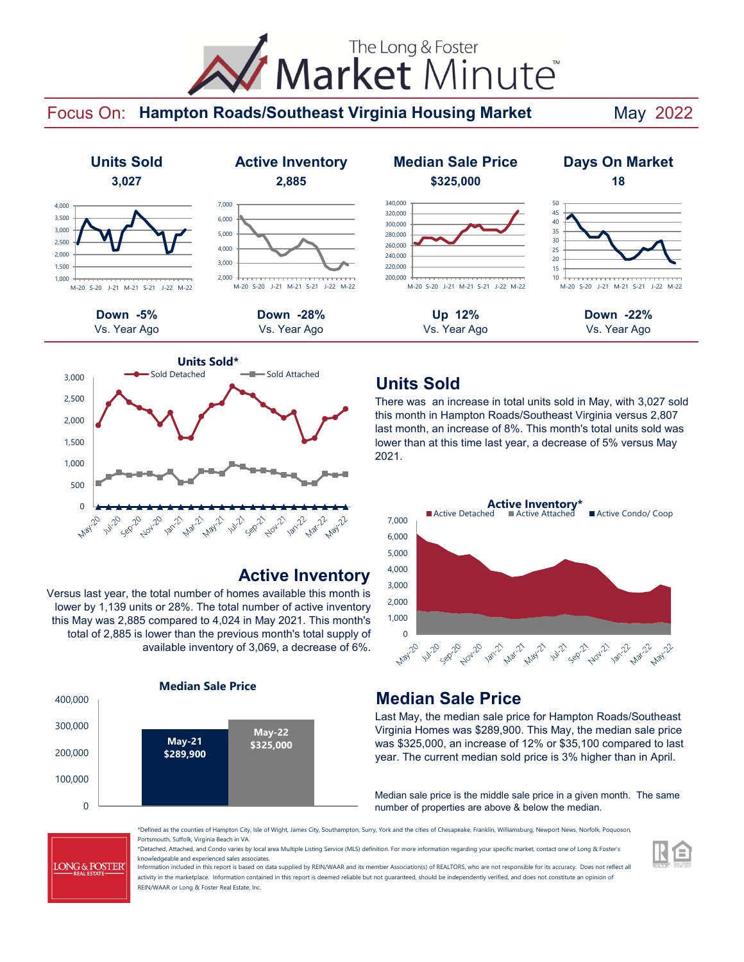# Market Minute The Long & Foster

### Focus On: Hampton Roads/Southeast Virginia Housing Market May 2022



# M-20 S-20 J-21 M-21 S-21 J-22 M-22

Vs. Year Ago Vs. Year Ago Vs. Year Ago Vs. Year Ago



### **Active Inventory**

Versus last year, the total number of homes available this month is lower by 1,139 units or 28%. The total number of active inventory this May was 2,885 compared to 4,024 in May 2021. This month's total of 2,885 is lower than the previous month's total supply of available inventory of 3,069, a decrease of 6%.



### **Units Sold Active Inventory Median Sale Price Days On Market 3,027 2,885 \$325,000 18** 200,000 220,000 240,000 260,000 280,000 300,000 320,000 340,000 M-20 S-20 J-21 M-21 S-21 J-22 M-22 10 15 20 25 30 35 40 45 50

# M-20 S-20 J-21 M-21 S-21 J-22 M-22

## **Units Sold**

There was an increase in total units sold in May, with 3,027 sold this month in Hampton Roads/Southeast Virginia versus 2,807 last month, an increase of 8%. This month's total units sold was lower than at this time last year, a decrease of 5% versus May 2021.



### **Median Sale Price**

Last May, the median sale price for Hampton Roads/Southeast Virginia Homes was \$289,900. This May, the median sale price was \$325,000, an increase of 12% or \$35,100 compared to last year. The current median sold price is 3% higher than in April.

Median sale price is the middle sale price in a given month. The same number of properties are above & below the median.

**LONG & FOSTER** 

\*Defined as the counties of Hampton City, Isle of Wight, James City, Southampton, Surry, York and the cities of Chesapeake, Franklin, Williamsburg, Newport News, Norfolk, Poquoson, Portsmouth, Suffolk, Virginia Beach in VA.

\*Detached, Attached, and Condo varies by local area Multiple Listing Service (MLS) definition. For more information regarding your specific market, contact one of Long & Foster's knowledgeable and experienced sales associates.

Information included in this report is based on data supplied by REIN/WAAR and its member Association(s) of REALTORS, who are not responsible for its accuracy. Does not reflect all activity in the marketplace. Information contained in this report is deemed reliable but not guaranteed, should be independently verified, and does not constitute an opinion of REIN/WAAR or Long & Foster Real Estate, Inc.